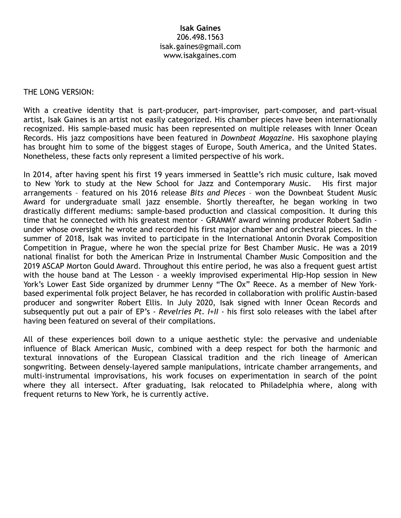### **Isak Gaines** 206.498.1563 [isak.gaines@gmail.com](mailto:isak.gaines@gmail.com) www.isakgaines.com

#### THE LONG VERSION:

With a creative identity that is part-producer, part-improviser, part-composer, and part-visual artist, Isak Gaines is an artist not easily categorized. His chamber pieces have been internationally recognized. His sample-based music has been represented on multiple releases with Inner Ocean Records. His jazz compositions have been featured in *Downbeat Magazine.* His saxophone playing has brought him to some of the biggest stages of Europe, South America, and the United States. Nonetheless, these facts only represent a limited perspective of his work.

In 2014, after having spent his first 19 years immersed in Seattle's rich music culture, Isak moved to New York to study at the New School for Jazz and Contemporary Music. His first major arrangements – featured on his 2016 release *Bits and Pieces* – won the Downbeat Student Music Award for undergraduate small jazz ensemble. Shortly thereafter, he began working in two drastically different mediums: sample-based production and classical composition. It during this time that he connected with his greatest mentor - GRAMMY award winning producer Robert Sadin under whose oversight he wrote and recorded his first major chamber and orchestral pieces. In the summer of 2018, Isak was invited to participate in the International Antonin Dvorak Composition Competition in Prague, where he won the special prize for Best Chamber Music. He was a 2019 national finalist for both the American Prize in Instrumental Chamber Music Composition and the 2019 ASCAP Morton Gould Award. Throughout this entire period, he was also a frequent guest artist with the house band at The Lesson - a weekly improvised experimental Hip-Hop session in New York's Lower East Side organized by drummer Lenny "The Ox" Reece. As a member of New Yorkbased experimental folk project Belaver, he has recorded in collaboration with prolific Austin-based producer and songwriter Robert Ellis. In July 2020, Isak signed with Inner Ocean Records and subsequently put out a pair of EP's - *Revelries Pt. I+II* - his first solo releases with the label after having been featured on several of their compilations.

All of these experiences boil down to a unique aesthetic style: the pervasive and undeniable influence of Black American Music, combined with a deep respect for both the harmonic and textural innovations of the European Classical tradition and the rich lineage of American songwriting. Between densely-layered sample manipulations, intricate chamber arrangements, and multi-instrumental improvisations, his work focuses on experimentation in search of the point where they all intersect. After graduating, Isak relocated to Philadelphia where, along with frequent returns to New York, he is currently active.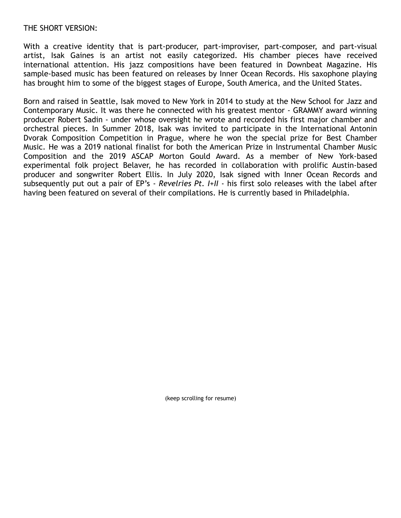### THE SHORT VERSION:

With a creative identity that is part-producer, part-improviser, part-composer, and part-visual artist, Isak Gaines is an artist not easily categorized. His chamber pieces have received international attention. His jazz compositions have been featured in Downbeat Magazine. His sample-based music has been featured on releases by Inner Ocean Records. His saxophone playing has brought him to some of the biggest stages of Europe, South America, and the United States.

Born and raised in Seattle, Isak moved to New York in 2014 to study at the New School for Jazz and Contemporary Music. It was there he connected with his greatest mentor - GRAMMY award winning producer Robert Sadin - under whose oversight he wrote and recorded his first major chamber and orchestral pieces. In Summer 2018, Isak was invited to participate in the International Antonin Dvorak Composition Competition in Prague, where he won the special prize for Best Chamber Music. He was a 2019 national finalist for both the American Prize in Instrumental Chamber Music Composition and the 2019 ASCAP Morton Gould Award. As a member of New York-based experimental folk project Belaver, he has recorded in collaboration with prolific Austin-based producer and songwriter Robert Ellis. In July 2020, Isak signed with Inner Ocean Records and subsequently put out a pair of EP's - *Revelries Pt. I+II* - his first solo releases with the label after having been featured on several of their compilations. He is currently based in Philadelphia.

(keep scrolling for resume)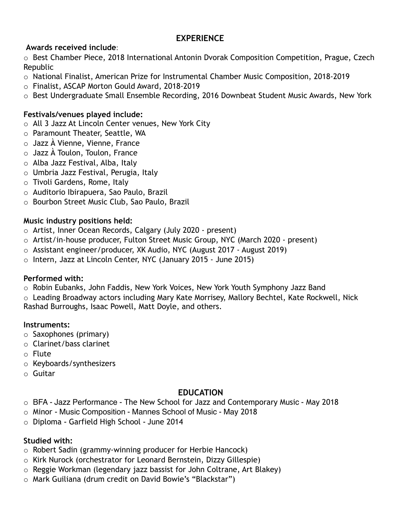# **EXPERIENCE**

# **Awards received include**:

o Best Chamber Piece, 2018 International Antonin Dvorak Composition Competition, Prague, Czech Republic

- o National Finalist, American Prize for Instrumental Chamber Music Composition, 2018-2019
- o Finalist, ASCAP Morton Gould Award, 2018-2019
- o Best Undergraduate Small Ensemble Recording, 2016 Downbeat Student Music Awards, New York

# **Festivals/venues played include:**

- o All 3 Jazz At Lincoln Center venues, New York City
- o Paramount Theater, Seattle, WA
- o Jazz À Vienne, Vienne, France
- o Jazz À Toulon, Toulon, France
- o Alba Jazz Festival, Alba, Italy
- o Umbria Jazz Festival, Perugia, Italy
- o Tivoli Gardens, Rome, Italy
- o Auditorio Ibirapuera, Sao Paulo, Brazil
- o Bourbon Street Music Club, Sao Paulo, Brazil

## **Music industry positions held:**

- o Artist, Inner Ocean Records, Calgary (July 2020 present)
- o Artist/in-house producer, Fulton Street Music Group, NYC (March 2020 present)
- o Assistant engineer/producer, XK Audio, NYC (August 2017 August 2019)
- o Intern, Jazz at Lincoln Center, NYC (January 2015 June 2015)

## **Performed with:**

o Robin Eubanks, John Faddis, New York Voices, New York Youth Symphony Jazz Band

 $\circ$  Leading Broadway actors including Mary Kate Morrisey, Mallory Bechtel, Kate Rockwell, Nick Rashad Burroughs, Isaac Powell, Matt Doyle, and others.

## **Instruments:**

- o Saxophones (primary)
- o Clarinet/bass clarinet
- o Flute
- o Keyboards/synthesizers
- o Guitar

# **EDUCATION**

- o BFA Jazz Performance The New School for Jazz and Contemporary Music May 2018
- o Minor Music Composition Mannes School of Music May 2018
- o Diploma Garfield High School June 2014

## **Studied with:**

- o Robert Sadin (grammy-winning producer for Herbie Hancock)
- o Kirk Nurock (orchestrator for Leonard Bernstein, Dizzy Gillespie)
- o Reggie Workman (legendary jazz bassist for John Coltrane, Art Blakey)
- o Mark Guiliana (drum credit on David Bowie's "Blackstar")